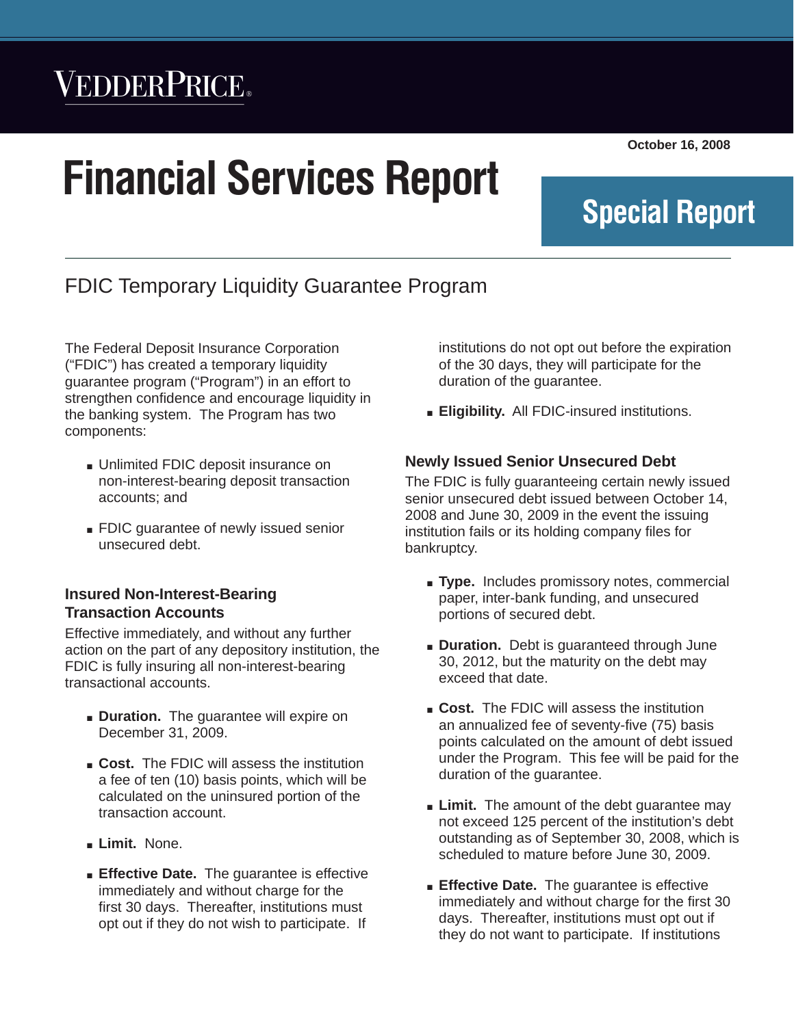## VEDDERPRICE®

# **Financial Services Report**

**October 16, 2008**

**Special Report**

## FDIC Temporary Liquidity Guarantee Program

The Federal Deposit Insurance Corporation ("FDIC") has created a temporary liquidity guarantee program ("Program") in an effort to strengthen confidence and encourage liquidity in the banking system. The Program has two components:

- Unlimited FDIC deposit insurance on non-interest-bearing deposit transaction accounts; and
- **FDIC guarantee of newly issued senior** unsecured debt.

#### **Insured Non-Interest-Bearing Transaction Accounts**

Effective immediately, and without any further action on the part of any depository institution, the FDIC is fully insuring all non-interest-bearing transactional accounts.

- **Duration.** The quarantee will expire on December 31, 2009.
- **Cost.** The FDIC will assess the institution a fee of ten (10) basis points, which will be calculated on the uninsured portion of the transaction account.
- **Limit.** None.
- **Effective Date.** The guarantee is effective immediately and without charge for the first 30 days. Thereafter, institutions must opt out if they do not wish to participate. If

institutions do not opt out before the expiration of the 30 days, they will participate for the duration of the guarantee.

*Financial Services Report* Q *October 14, 2008*

**Eligibility.** All FDIC-insured institutions.

#### **Newly Issued Senior Unsecured Debt**

The FDIC is fully guaranteeing certain newly issued senior unsecured debt issued between October 14, 2008 and June 30, 2009 in the event the issuing institution fails or its holding company files for bankruptcy.

- **Type.** Includes promissory notes, commercial paper, inter-bank funding, and unsecured portions of secured debt.
- **Duration.** Debt is guaranteed through June 30, 2012, but the maturity on the debt may exceed that date.
- **Cost.** The FDIC will assess the institution an annualized fee of seventy-five (75) basis points calculated on the amount of debt issued under the Program. This fee will be paid for the duration of the guarantee.
- **Limit.** The amount of the debt guarantee may not exceed 125 percent of the institution's debt outstanding as of September 30, 2008, which is scheduled to mature before June 30, 2009.
- **Effective Date.** The guarantee is effective immediately and without charge for the first 30 days. Thereafter, institutions must opt out if they do not want to participate. If institutions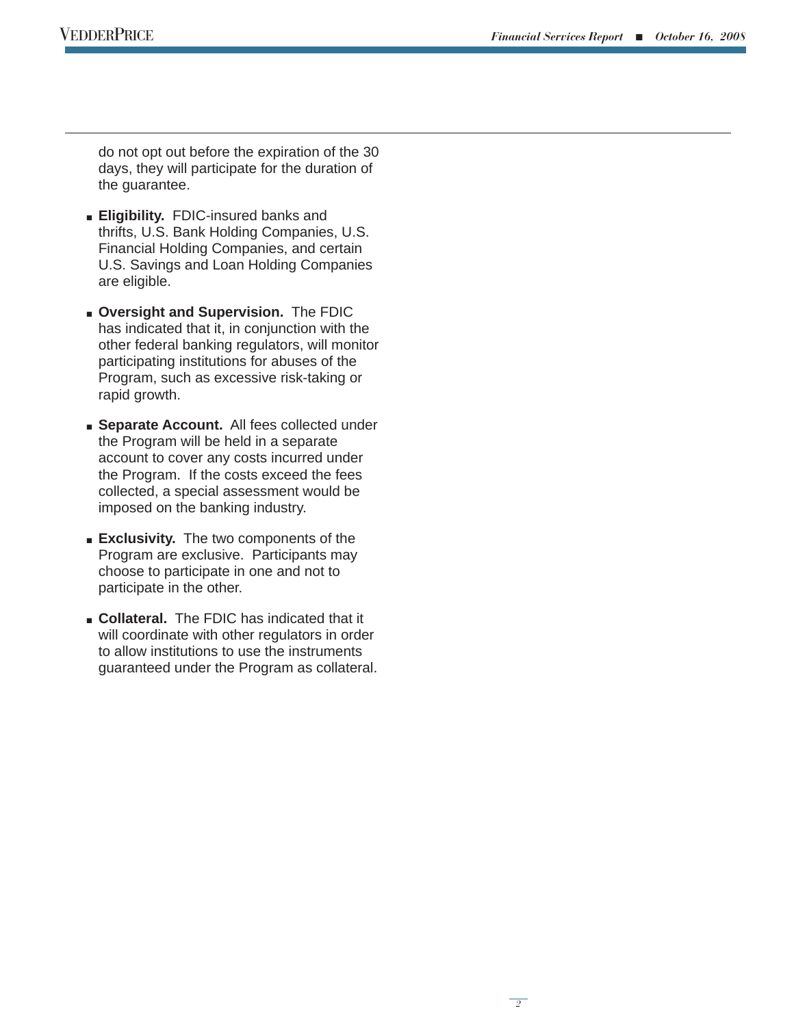*2*

do not opt out before the expiration of the 30 days, they will participate for the duration of the guarantee.

- **Eligibility.** FDIC-insured banks and thrifts, U.S. Bank Holding Companies, U.S. Financial Holding Companies, and certain U.S. Savings and Loan Holding Companies are eligible.
- <sup>Q</sup> **Oversight and Supervision.** The FDIC has indicated that it, in conjunction with the other federal banking regulators, will monitor participating institutions for abuses of the Program, such as excessive risk-taking or rapid growth.
- **s** Separate Account. All fees collected under the Program will be held in a separate account to cover any costs incurred under the Program. If the costs exceed the fees collected, a special assessment would be imposed on the banking industry.
- **Exclusivity.** The two components of the Program are exclusive. Participants may choose to participate in one and not to participate in the other.
- **Collateral.** The FDIC has indicated that it will coordinate with other regulators in order to allow institutions to use the instruments guaranteed under the Program as collateral.